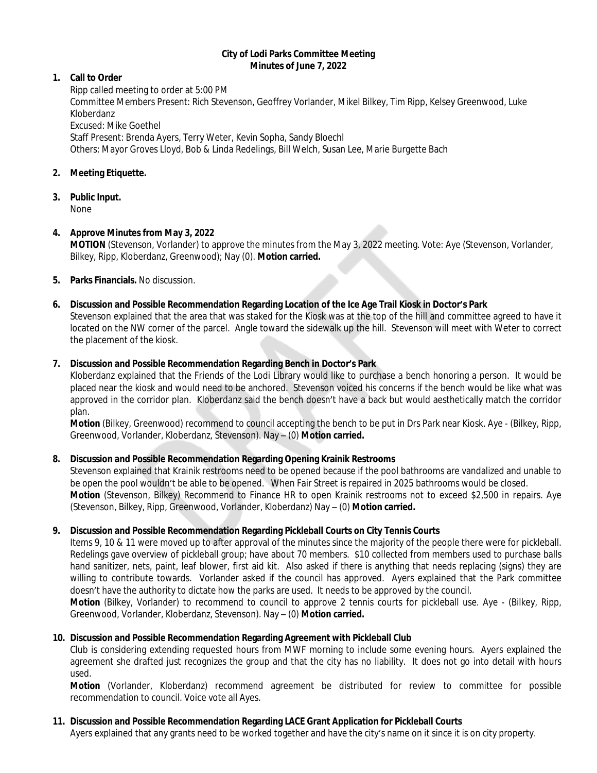#### **City of Lodi Parks Committee Meeting Minutes of June 7, 2022**

## **1. Call to Order**

Ripp called meeting to order at 5:00 PM Committee Members Present: Rich Stevenson, Geoffrey Vorlander, Mikel Bilkey, Tim Ripp, Kelsey Greenwood, Luke Kloberdanz Excused: Mike Goethel Staff Present: Brenda Ayers, Terry Weter, Kevin Sopha, Sandy Bloechl Others: Mayor Groves Lloyd, Bob & Linda Redelings, Bill Welch, Susan Lee, Marie Burgette Bach

# **2. Meeting Etiquette.**

**3. Public Input.**

None

# **4. Approve Minutes from May 3, 2022**

**MOTION** (Stevenson, Vorlander) to approve the minutes from the May 3, 2022 meeting. Vote: Aye (Stevenson, Vorlander, Bilkey, Ripp, Kloberdanz, Greenwood); Nay (0). **Motion carried.**

# **5. Parks Financials.** No discussion.

# **6. Discussion and Possible Recommendation Regarding Location of the Ice Age Trail Kiosk in Doctor's Park**

Stevenson explained that the area that was staked for the Kiosk was at the top of the hill and committee agreed to have it located on the NW corner of the parcel. Angle toward the sidewalk up the hill. Stevenson will meet with Weter to correct the placement of the kiosk.

# **7. Discussion and Possible Recommendation Regarding Bench in Doctor's Park**

Kloberdanz explained that the Friends of the Lodi Library would like to purchase a bench honoring a person. It would be placed near the kiosk and would need to be anchored. Stevenson voiced his concerns if the bench would be like what was approved in the corridor plan. Kloberdanz said the bench doesn't have a back but would aesthetically match the corridor plan.

**Motion** (Bilkey, Greenwood) recommend to council accepting the bench to be put in Drs Park near Kiosk. Aye - (Bilkey, Ripp, Greenwood, Vorlander, Kloberdanz, Stevenson). Nay – (0) **Motion carried.**

### **8. Discussion and Possible Recommendation Regarding Opening Krainik Restrooms**

Stevenson explained that Krainik restrooms need to be opened because if the pool bathrooms are vandalized and unable to be open the pool wouldn't be able to be opened. When Fair Street is repaired in 2025 bathrooms would be closed. **Motion** (Stevenson, Bilkey) Recommend to Finance HR to open Krainik restrooms not to exceed \$2,500 in repairs. Aye (Stevenson, Bilkey, Ripp, Greenwood, Vorlander, Kloberdanz) Nay – (0) **Motion carried.**

### **9. Discussion and Possible Recommendation Regarding Pickleball Courts on City Tennis Courts**

Items 9, 10 & 11 were moved up to after approval of the minutes since the majority of the people there were for pickleball. Redelings gave overview of pickleball group; have about 70 members. \$10 collected from members used to purchase balls hand sanitizer, nets, paint, leaf blower, first aid kit. Also asked if there is anything that needs replacing (signs) they are willing to contribute towards. Vorlander asked if the council has approved. Ayers explained that the Park committee doesn't have the authority to dictate how the parks are used. It needs to be approved by the council.

**Motion** (Bilkey, Vorlander) to recommend to council to approve 2 tennis courts for pickleball use. Aye - (Bilkey, Ripp, Greenwood, Vorlander, Kloberdanz, Stevenson). Nay – (0) **Motion carried.**

### **10. Discussion and Possible Recommendation Regarding Agreement with Pickleball Club**

Club is considering extending requested hours from MWF morning to include some evening hours. Ayers explained the agreement she drafted just recognizes the group and that the city has no liability. It does not go into detail with hours used.

**Motion** (Vorlander, Kloberdanz) recommend agreement be distributed for review to committee for possible recommendation to council. Voice vote all Ayes.

### **11. Discussion and Possible Recommendation Regarding LACE Grant Application for Pickleball Courts**

Ayers explained that any grants need to be worked together and have the city's name on it since it is on city property.